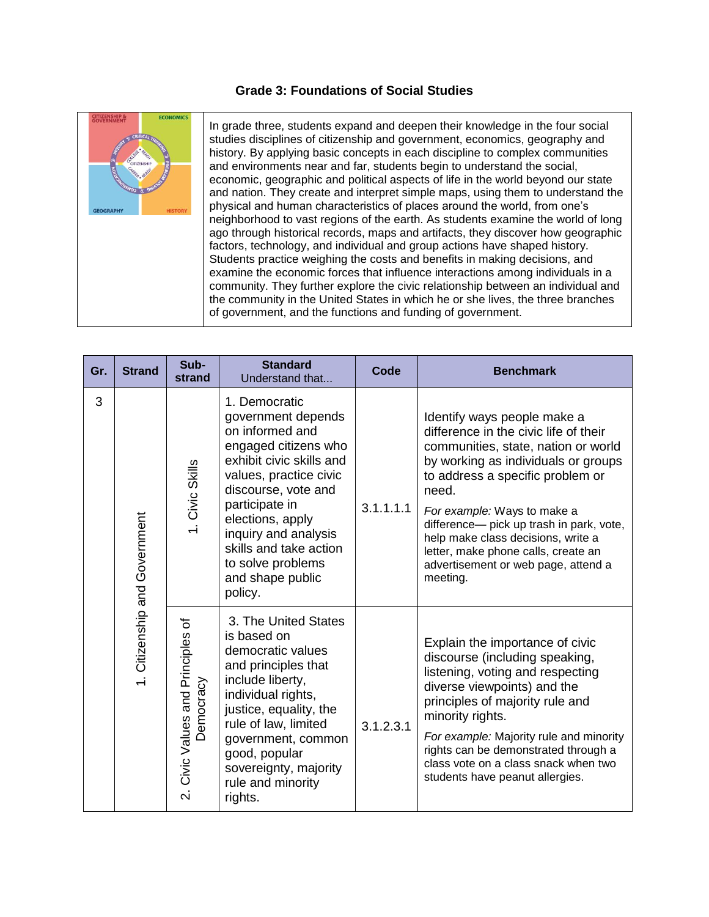## **Grade 3: Foundations of Social Studies**



In grade three, students expand and deepen their knowledge in the four social studies disciplines of citizenship and government, economics, geography and history. By applying basic concepts in each discipline to complex communities and environments near and far, students begin to understand the social, economic, geographic and political aspects of life in the world beyond our state and nation. They create and interpret simple maps, using them to understand the physical and human characteristics of places around the world, from one's neighborhood to vast regions of the earth. As students examine the world of long ago through historical records, maps and artifacts, they discover how geographic factors, technology, and individual and group actions have shaped history. Students practice weighing the costs and benefits in making decisions, and examine the economic forces that influence interactions among individuals in a community. They further explore the civic relationship between an individual and the community in the United States in which he or she lives, the three branches of government, and the functions and funding of government.

| Gr. | <b>Strand</b>                 | Sub-<br>strand                                 | <b>Standard</b><br>Understand that                                                                                                                                                                                                                                                                      | Code      | <b>Benchmark</b>                                                                                                                                                                                                                                                                                                                                                                                           |
|-----|-------------------------------|------------------------------------------------|---------------------------------------------------------------------------------------------------------------------------------------------------------------------------------------------------------------------------------------------------------------------------------------------------------|-----------|------------------------------------------------------------------------------------------------------------------------------------------------------------------------------------------------------------------------------------------------------------------------------------------------------------------------------------------------------------------------------------------------------------|
| 3   | 1. Citizenship and Government | 1. Civic Skills                                | 1. Democratic<br>government depends<br>on informed and<br>engaged citizens who<br>exhibit civic skills and<br>values, practice civic<br>discourse, vote and<br>participate in<br>elections, apply<br>inquiry and analysis<br>skills and take action<br>to solve problems<br>and shape public<br>policy. | 3.1.1.1.1 | Identify ways people make a<br>difference in the civic life of their<br>communities, state, nation or world<br>by working as individuals or groups<br>to address a specific problem or<br>need.<br>For example: Ways to make a<br>difference- pick up trash in park, vote,<br>help make class decisions, write a<br>letter, make phone calls, create an<br>advertisement or web page, attend a<br>meeting. |
|     |                               | 2. Civic Values and Principles of<br>Democracy | 3. The United States<br>is based on<br>democratic values<br>and principles that<br>include liberty,<br>individual rights,<br>justice, equality, the<br>rule of law, limited<br>government, common<br>good, popular<br>sovereignty, majority<br>rule and minority<br>rights.                             | 3.1.2.3.1 | Explain the importance of civic<br>discourse (including speaking,<br>listening, voting and respecting<br>diverse viewpoints) and the<br>principles of majority rule and<br>minority rights.<br>For example: Majority rule and minority<br>rights can be demonstrated through a<br>class vote on a class snack when two<br>students have peanut allergies.                                                  |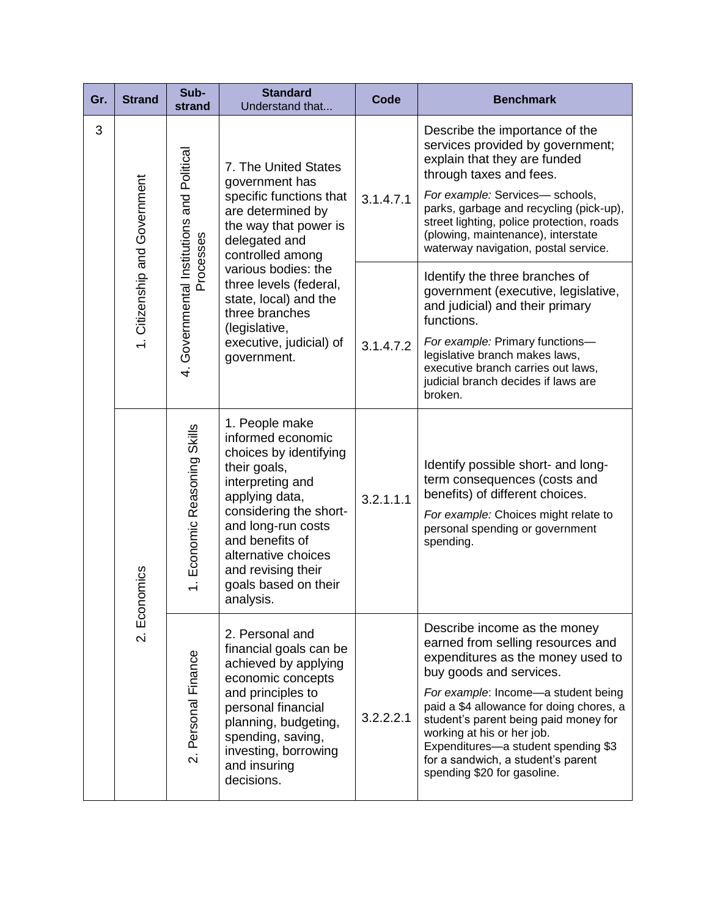| Gr. | <b>Strand</b>                           | Sub-<br>strand                                          | <b>Standard</b><br>Understand that                                                                                                                                                                                                                                                                          | <b>Code</b> | <b>Benchmark</b>                                                                                                                                                                                                                                                                                                                                                                                        |
|-----|-----------------------------------------|---------------------------------------------------------|-------------------------------------------------------------------------------------------------------------------------------------------------------------------------------------------------------------------------------------------------------------------------------------------------------------|-------------|---------------------------------------------------------------------------------------------------------------------------------------------------------------------------------------------------------------------------------------------------------------------------------------------------------------------------------------------------------------------------------------------------------|
| 3   |                                         |                                                         | 7. The United States<br>government has<br>specific functions that<br>are determined by<br>the way that power is<br>delegated and<br>controlled among<br>various bodies: the<br>three levels (federal,<br>state, local) and the<br>three branches<br>(legislative,<br>executive, judicial) of<br>government. | 3.1.4.7.1   | Describe the importance of the<br>services provided by government;<br>explain that they are funded<br>through taxes and fees.<br>For example: Services- schools,<br>parks, garbage and recycling (pick-up),<br>street lighting, police protection, roads<br>(plowing, maintenance), interstate<br>waterway navigation, postal service.                                                                  |
|     | 1. Citizenship and Government           | 4. Governmental Institutions and Political<br>Processes |                                                                                                                                                                                                                                                                                                             | 3.1.4.7.2   | Identify the three branches of<br>government (executive, legislative,<br>and judicial) and their primary<br>functions.<br>For example: Primary functions-                                                                                                                                                                                                                                               |
|     |                                         |                                                         |                                                                                                                                                                                                                                                                                                             |             | legislative branch makes laws,<br>executive branch carries out laws,<br>judicial branch decides if laws are<br>broken.                                                                                                                                                                                                                                                                                  |
|     | homics<br>$E$ cor<br>$\dot{\mathsf{N}}$ | 1. Economic Reasoning Skills                            | 1. People make<br>informed economic<br>choices by identifying<br>their goals,<br>interpreting and<br>applying data,<br>considering the short-<br>and long-run costs<br>and benefits of<br>alternative choices<br>and revising their<br>goals based on their<br>analysis.                                    | 3.2.1.1.1   | Identify possible short- and long-<br>term consequences (costs and<br>benefits) of different choices.<br>For example: Choices might relate to<br>personal spending or government<br>spending.                                                                                                                                                                                                           |
|     |                                         | Personal Finance<br>$\overline{\mathcal{N}}$            | 2. Personal and<br>financial goals can be<br>achieved by applying<br>economic concepts<br>and principles to<br>personal financial<br>planning, budgeting,<br>spending, saving,<br>investing, borrowing<br>and insuring<br>decisions.                                                                        | 3.2.2.2.1   | Describe income as the money<br>earned from selling resources and<br>expenditures as the money used to<br>buy goods and services.<br>For example: Income-a student being<br>paid a \$4 allowance for doing chores, a<br>student's parent being paid money for<br>working at his or her job.<br>Expenditures-a student spending \$3<br>for a sandwich, a student's parent<br>spending \$20 for gasoline. |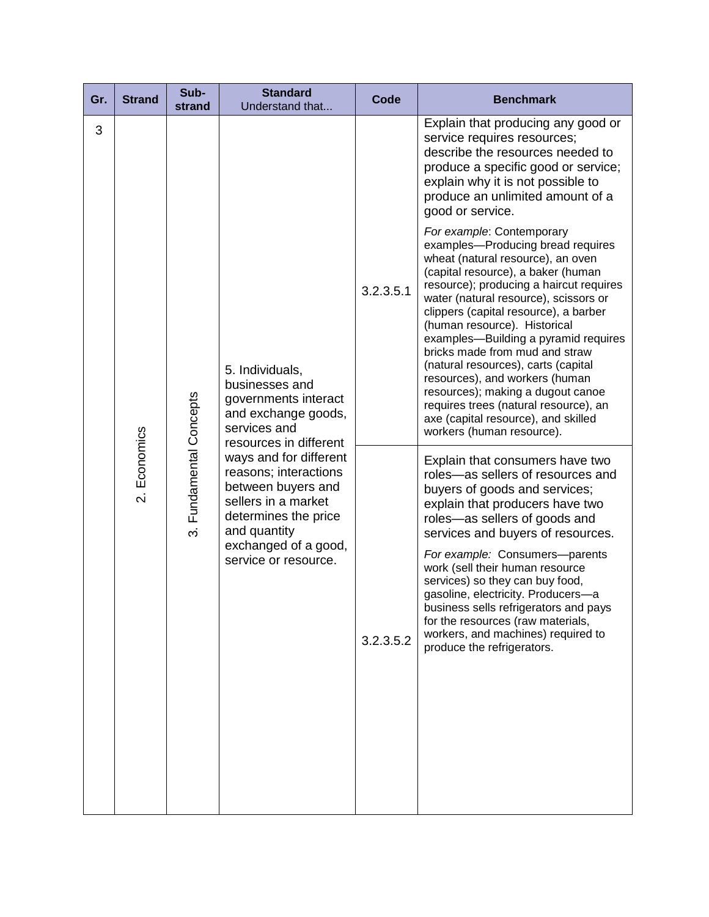| Gr. | <b>Strand</b>                        | Sub-<br>strand                    | <b>Standard</b><br>Understand that                                                                                                                                                                             | Code      | <b>Benchmark</b>                                                                                                                                                                                                                                                                                                                                                                                                                                                                                                                                                                                            |
|-----|--------------------------------------|-----------------------------------|----------------------------------------------------------------------------------------------------------------------------------------------------------------------------------------------------------------|-----------|-------------------------------------------------------------------------------------------------------------------------------------------------------------------------------------------------------------------------------------------------------------------------------------------------------------------------------------------------------------------------------------------------------------------------------------------------------------------------------------------------------------------------------------------------------------------------------------------------------------|
| 3   |                                      |                                   | 5. Individuals,<br>businesses and<br>governments interact<br>and exchange goods,<br>services and                                                                                                               | 3.2.3.5.1 | Explain that producing any good or<br>service requires resources;<br>describe the resources needed to<br>produce a specific good or service;<br>explain why it is not possible to<br>produce an unlimited amount of a<br>good or service.                                                                                                                                                                                                                                                                                                                                                                   |
|     |                                      |                                   |                                                                                                                                                                                                                |           | For example: Contemporary<br>examples-Producing bread requires<br>wheat (natural resource), an oven<br>(capital resource), a baker (human<br>resource); producing a haircut requires<br>water (natural resource), scissors or<br>clippers (capital resource), a barber<br>(human resource). Historical<br>examples-Building a pyramid requires<br>bricks made from mud and straw<br>(natural resources), carts (capital<br>resources), and workers (human<br>resources); making a dugout canoe<br>requires trees (natural resource), an<br>axe (capital resource), and skilled<br>workers (human resource). |
|     | Economics<br>$\overline{\mathsf{N}}$ | Fundamental Concepts<br>$\vec{S}$ | resources in different<br>ways and for different<br>reasons; interactions<br>between buyers and<br>sellers in a market<br>determines the price<br>and quantity<br>exchanged of a good,<br>service or resource. | 3.2.3.5.2 | Explain that consumers have two<br>roles-as sellers of resources and<br>buyers of goods and services;<br>explain that producers have two<br>roles-as sellers of goods and<br>services and buyers of resources.<br>For example: Consumers-parents<br>work (sell their human resource<br>services) so they can buy food,<br>gasoline, electricity. Producers-a<br>business sells refrigerators and pays<br>for the resources (raw materials,<br>workers, and machines) required to<br>produce the refrigerators.                                                                                              |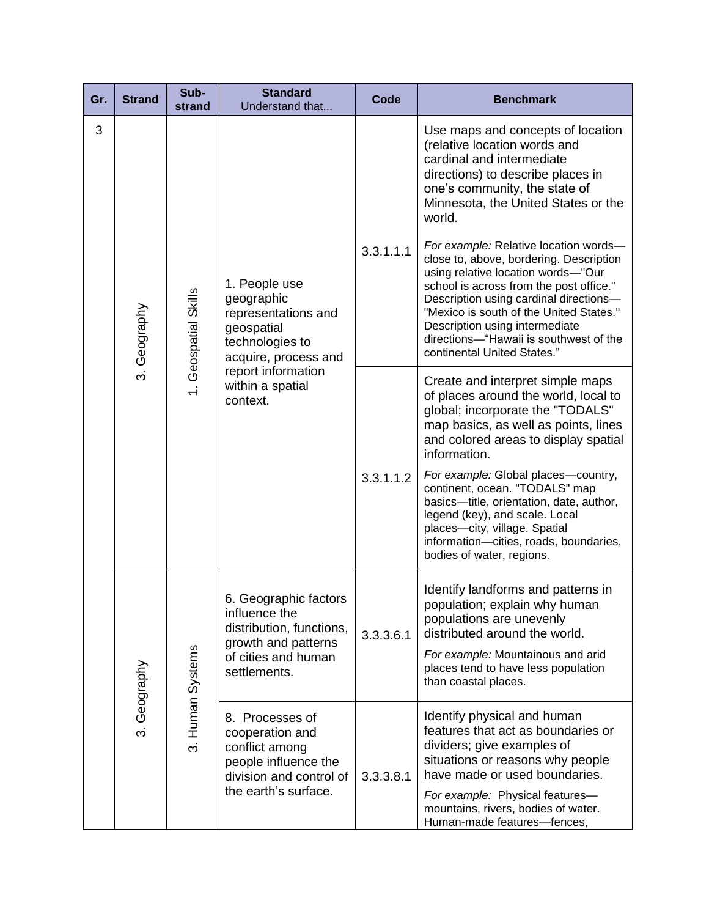| Gr. | <b>Strand</b>               | Sub-<br>strand       | <b>Standard</b><br>Understand that                                                                                                                                | <b>Code</b> | <b>Benchmark</b>                                                                                                                                                                                                                                                                                                                                                                                                                                                                                                                                                                           |
|-----|-----------------------------|----------------------|-------------------------------------------------------------------------------------------------------------------------------------------------------------------|-------------|--------------------------------------------------------------------------------------------------------------------------------------------------------------------------------------------------------------------------------------------------------------------------------------------------------------------------------------------------------------------------------------------------------------------------------------------------------------------------------------------------------------------------------------------------------------------------------------------|
| 3   | Geography<br>$\dot{\infty}$ | 1. Geospatial Skills | 1. People use<br>geographic<br>representations and<br>geospatial<br>technologies to<br>acquire, process and<br>report information<br>within a spatial<br>context. | 3.3.1.1.1   | Use maps and concepts of location<br>(relative location words and<br>cardinal and intermediate<br>directions) to describe places in<br>one's community, the state of<br>Minnesota, the United States or the<br>world.<br>For example: Relative location words-<br>close to, above, bordering. Description<br>using relative location words-"Our<br>school is across from the post office."<br>Description using cardinal directions-<br>"Mexico is south of the United States."<br>Description using intermediate<br>directions-"Hawaii is southwest of the<br>continental United States." |
|     |                             |                      |                                                                                                                                                                   | 3.3.1.1.2   | Create and interpret simple maps<br>of places around the world, local to<br>global; incorporate the "TODALS"<br>map basics, as well as points, lines<br>and colored areas to display spatial<br>information.<br>For example: Global places-country,<br>continent, ocean. "TODALS" map<br>basics-title, orientation, date, author,<br>legend (key), and scale. Local<br>places-city, village. Spatial<br>information-cities, roads, boundaries,<br>bodies of water, regions.                                                                                                                |
|     | 3. Geography                | 3. Human Systems     | 6. Geographic factors<br>influence the<br>distribution, functions,<br>growth and patterns<br>of cities and human<br>settlements.                                  | 3.3.3.6.1   | Identify landforms and patterns in<br>population; explain why human<br>populations are unevenly<br>distributed around the world.<br>For example: Mountainous and arid<br>places tend to have less population<br>than coastal places.                                                                                                                                                                                                                                                                                                                                                       |
|     |                             |                      | 8. Processes of<br>cooperation and<br>conflict among<br>people influence the<br>division and control of<br>the earth's surface.                                   | 3.3.3.8.1   | Identify physical and human<br>features that act as boundaries or<br>dividers; give examples of<br>situations or reasons why people<br>have made or used boundaries.<br>For example: Physical features-<br>mountains, rivers, bodies of water.<br>Human-made features-fences,                                                                                                                                                                                                                                                                                                              |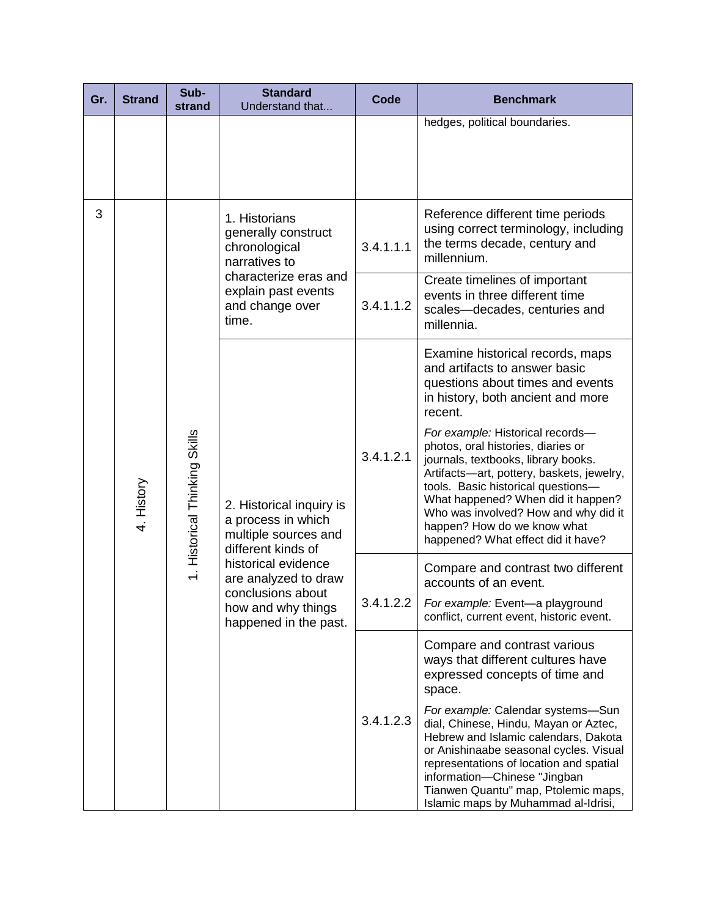| Gr. | <b>Strand</b> | Sub-<br>strand                | <b>Standard</b><br>Understand that                                                                                                                                                                              | Code      | <b>Benchmark</b>                                                                                                                                                                                                                                                                                                                                    |
|-----|---------------|-------------------------------|-----------------------------------------------------------------------------------------------------------------------------------------------------------------------------------------------------------------|-----------|-----------------------------------------------------------------------------------------------------------------------------------------------------------------------------------------------------------------------------------------------------------------------------------------------------------------------------------------------------|
|     |               |                               |                                                                                                                                                                                                                 |           | hedges, political boundaries.                                                                                                                                                                                                                                                                                                                       |
| 3   | 4. History    | 1. Historical Thinking Skills | 1. Historians<br>generally construct<br>chronological<br>narratives to<br>characterize eras and<br>explain past events<br>and change over<br>time.                                                              | 3.4.1.1.1 | Reference different time periods<br>using correct terminology, including<br>the terms decade, century and<br>millennium.                                                                                                                                                                                                                            |
|     |               |                               |                                                                                                                                                                                                                 | 3.4.1.1.2 | Create timelines of important<br>events in three different time<br>scales-decades, centuries and<br>millennia.                                                                                                                                                                                                                                      |
|     |               |                               | 2. Historical inquiry is<br>a process in which<br>multiple sources and<br>different kinds of<br>historical evidence<br>are analyzed to draw<br>conclusions about<br>how and why things<br>happened in the past. | 3.4.1.2.1 | Examine historical records, maps<br>and artifacts to answer basic<br>questions about times and events<br>in history, both ancient and more<br>recent.                                                                                                                                                                                               |
|     |               |                               |                                                                                                                                                                                                                 |           | For example: Historical records-<br>photos, oral histories, diaries or<br>journals, textbooks, library books.<br>Artifacts-art, pottery, baskets, jewelry,<br>tools. Basic historical questions-<br>What happened? When did it happen?<br>Who was involved? How and why did it<br>happen? How do we know what<br>happened? What effect did it have? |
|     |               |                               |                                                                                                                                                                                                                 | 3.4.1.2.2 | Compare and contrast two different<br>accounts of an event.<br>For example: Event-a playground<br>conflict, current event, historic event.                                                                                                                                                                                                          |
|     |               |                               |                                                                                                                                                                                                                 |           | Compare and contrast various<br>ways that different cultures have<br>expressed concepts of time and<br>space.                                                                                                                                                                                                                                       |
|     |               |                               |                                                                                                                                                                                                                 | 3.4.1.2.3 | For example: Calendar systems-Sun<br>dial, Chinese, Hindu, Mayan or Aztec,<br>Hebrew and Islamic calendars, Dakota<br>or Anishinaabe seasonal cycles. Visual<br>representations of location and spatial<br>information-Chinese "Jingban<br>Tianwen Quantu" map, Ptolemic maps,<br>Islamic maps by Muhammad al-Idrisi,                               |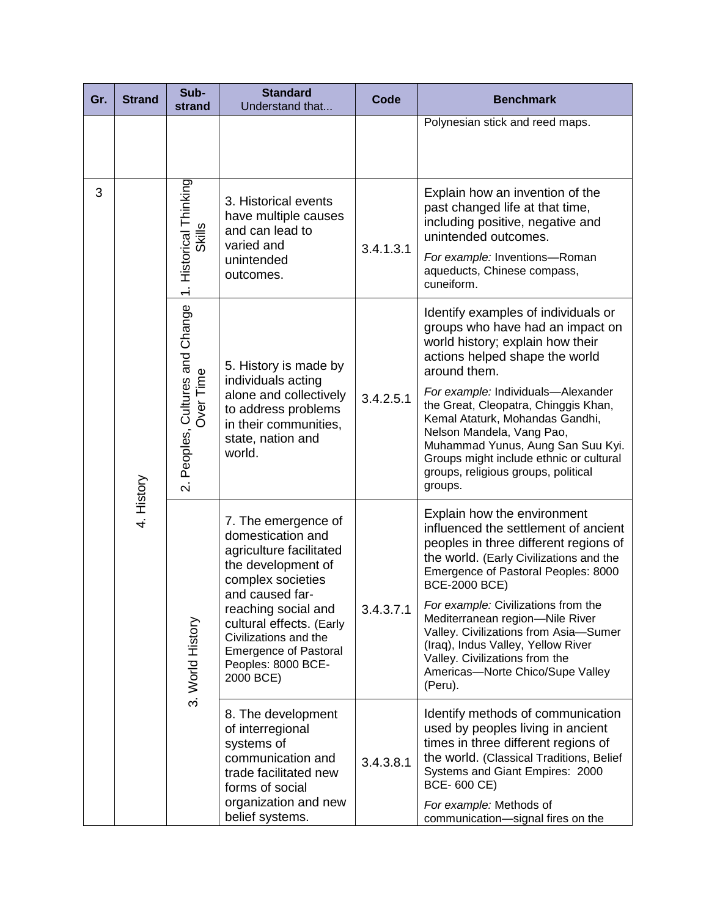| Gr. | <b>Strand</b> | Sub-<br>strand                                   | <b>Standard</b><br>Understand that                                                                                                                                                                                                                                               | Code      | <b>Benchmark</b>                                                                                                                                                                                                                                                                                                                                                                                                                                                            |
|-----|---------------|--------------------------------------------------|----------------------------------------------------------------------------------------------------------------------------------------------------------------------------------------------------------------------------------------------------------------------------------|-----------|-----------------------------------------------------------------------------------------------------------------------------------------------------------------------------------------------------------------------------------------------------------------------------------------------------------------------------------------------------------------------------------------------------------------------------------------------------------------------------|
|     |               |                                                  |                                                                                                                                                                                                                                                                                  |           | Polynesian stick and reed maps.                                                                                                                                                                                                                                                                                                                                                                                                                                             |
| 3   | 4. History    | 1. Historical Thinking<br>Skills                 | 3. Historical events<br>have multiple causes<br>and can lead to<br>varied and<br>unintended<br>outcomes.                                                                                                                                                                         | 3.4.1.3.1 | Explain how an invention of the<br>past changed life at that time,<br>including positive, negative and<br>unintended outcomes.<br>For example: Inventions-Roman<br>aqueducts, Chinese compass,<br>cuneiform.                                                                                                                                                                                                                                                                |
|     |               | Peoples, Cultures and Change<br><b>Over Time</b> | 5. History is made by<br>individuals acting<br>alone and collectively<br>to address problems<br>in their communities,<br>state, nation and<br>world.                                                                                                                             | 3.4.2.5.1 | Identify examples of individuals or<br>groups who have had an impact on<br>world history; explain how their<br>actions helped shape the world<br>around them.<br>For example: Individuals-Alexander<br>the Great, Cleopatra, Chinggis Khan,<br>Kemal Ataturk, Mohandas Gandhi,<br>Nelson Mandela, Vang Pao,<br>Muhammad Yunus, Aung San Suu Kyi.<br>Groups might include ethnic or cultural<br>groups, religious groups, political                                          |
|     |               | $\overline{\mathsf{N}}$<br>3. World History      | 7. The emergence of<br>domestication and<br>agriculture facilitated<br>the development of<br>complex societies<br>and caused far-<br>reaching social and<br>cultural effects. (Early<br>Civilizations and the<br><b>Emergence of Pastoral</b><br>Peoples: 8000 BCE-<br>2000 BCE) | 3.4.3.7.1 | groups.<br>Explain how the environment<br>influenced the settlement of ancient<br>peoples in three different regions of<br>the world. (Early Civilizations and the<br>Emergence of Pastoral Peoples: 8000<br><b>BCE-2000 BCE)</b><br>For example: Civilizations from the<br>Mediterranean region-Nile River<br>Valley. Civilizations from Asia-Sumer<br>(Iraq), Indus Valley, Yellow River<br>Valley. Civilizations from the<br>Americas-Norte Chico/Supe Valley<br>(Peru). |
|     |               |                                                  | 8. The development<br>of interregional<br>systems of<br>communication and<br>trade facilitated new<br>forms of social<br>organization and new<br>belief systems.                                                                                                                 | 3.4.3.8.1 | Identify methods of communication<br>used by peoples living in ancient<br>times in three different regions of<br>the world. (Classical Traditions, Belief<br>Systems and Giant Empires: 2000<br>BCE-600 CE)<br>For example: Methods of<br>communication-signal fires on the                                                                                                                                                                                                 |